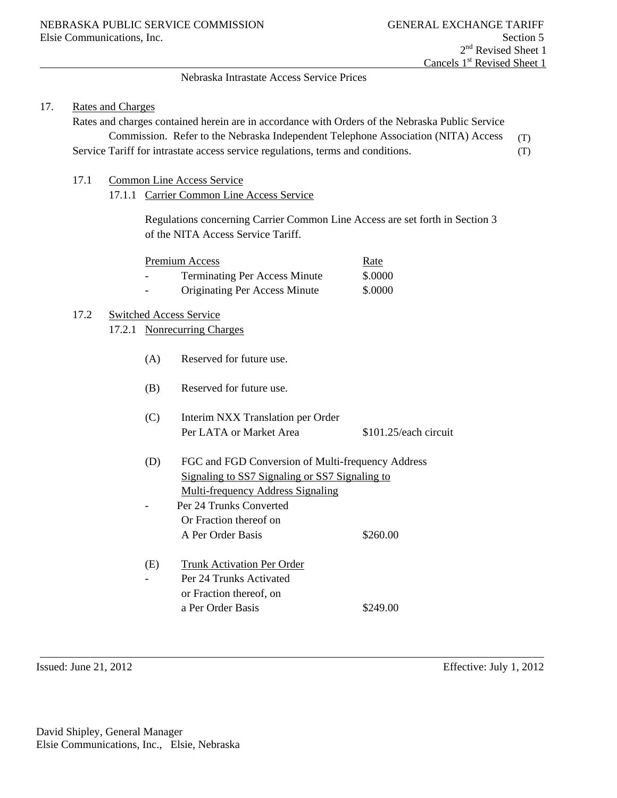# Nebraska Intrastate Access Service Prices

## 17. Rates and Charges

Rates and charges contained herein are in accordance with Orders of the Nebraska Public Service Commission. Refer to the Nebraska Independent Telephone Association (NITA) Access Service Tariff for intrastate access service regulations, terms and conditions. (T) (T)

- 17.1 Common Line Access Service
	- 17.1.1 Carrier Common Line Access Service

Regulations concerning Carrier Common Line Access are set forth in Section 3 of the NITA Access Service Tariff.

| Premium Access           |                                      | <u>Rate</u> |
|--------------------------|--------------------------------------|-------------|
| $\overline{\phantom{a}}$ | <b>Terminating Per Access Minute</b> | \$.0000     |
| $\overline{\phantom{a}}$ | <b>Originating Per Access Minute</b> | \$.0000     |

# 17.2 Switched Access Service

- 17.2.1 Nonrecurring Charges
	- (A) Reserved for future use.
	- (B) Reserved for future use.
	- (C) Interim NXX Translation per Order Per LATA or Market Area \$101.25/each circuit
	- (D) FGC and FGD Conversion of Multi-frequency Address Signaling to SS7 Signaling or SS7 Signaling to Multi-frequency Address Signaling
	- Per 24 Trunks Converted Or Fraction thereof on A Per Order Basis \$260.00
	- (E) Trunk Activation Per Order - Per 24 Trunks Activated or Fraction thereof, on a Per Order Basis \$249.00

Issued: June 21, 2012 Effective: July 1, 2012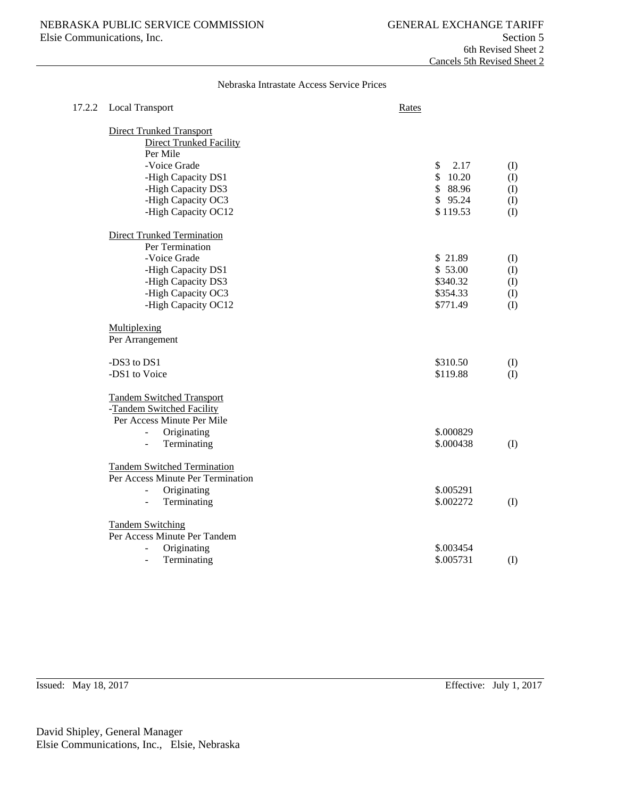Nebraska Intrastate Access Service Prices

| 17.2.2 | <b>Local Transport</b>                                                                      | Rates      |              |
|--------|---------------------------------------------------------------------------------------------|------------|--------------|
|        | <b>Direct Trunked Transport</b><br><b>Direct Trunked Facility</b><br>Per Mile               |            |              |
|        | -Voice Grade                                                                                | \$<br>2.17 | (I)          |
|        | -High Capacity DS1                                                                          | \$10.20    | (1)          |
|        | -High Capacity DS3                                                                          | \$88.96    | (I)          |
|        | -High Capacity OC3                                                                          | \$95.24    | (1)          |
|        | -High Capacity OC12                                                                         | \$119.53   | (1)          |
|        | <b>Direct Trunked Termination</b>                                                           |            |              |
|        | Per Termination                                                                             |            |              |
|        | -Voice Grade                                                                                | \$21.89    | (I)          |
|        | -High Capacity DS1                                                                          | \$53.00    | $($ $\Gamma$ |
|        | -High Capacity DS3                                                                          | \$340.32   | (I)          |
|        | -High Capacity OC3                                                                          | \$354.33   | (I)          |
|        | -High Capacity OC12                                                                         | \$771.49   | (I)          |
|        | Multiplexing                                                                                |            |              |
|        | Per Arrangement                                                                             |            |              |
|        | -DS3 to DS1                                                                                 | \$310.50   | (I)          |
|        | -DS1 to Voice                                                                               | \$119.88   | (I)          |
|        | <b>Tandem Switched Transport</b><br>-Tandem Switched Facility<br>Per Access Minute Per Mile |            |              |
|        | Originating<br>$\overline{\phantom{a}}$                                                     | \$.000829  |              |
|        | Terminating<br>$\frac{1}{2}$                                                                | \$.000438  | (I)          |
|        | <b>Tandem Switched Termination</b><br>Per Access Minute Per Termination                     |            |              |
|        | Originating<br>$\overline{a}$                                                               | \$.005291  |              |
|        | Terminating<br>$\overline{\phantom{a}}$                                                     | \$.002272  | (I)          |
|        | <b>Tandem Switching</b><br>Per Access Minute Per Tandem                                     |            |              |
|        | Originating                                                                                 | \$.003454  |              |
|        | Terminating<br>÷.                                                                           | \$.005731  | (I)          |
|        |                                                                                             |            |              |

Issued: May 18, 2017 Effective: July 1, 2017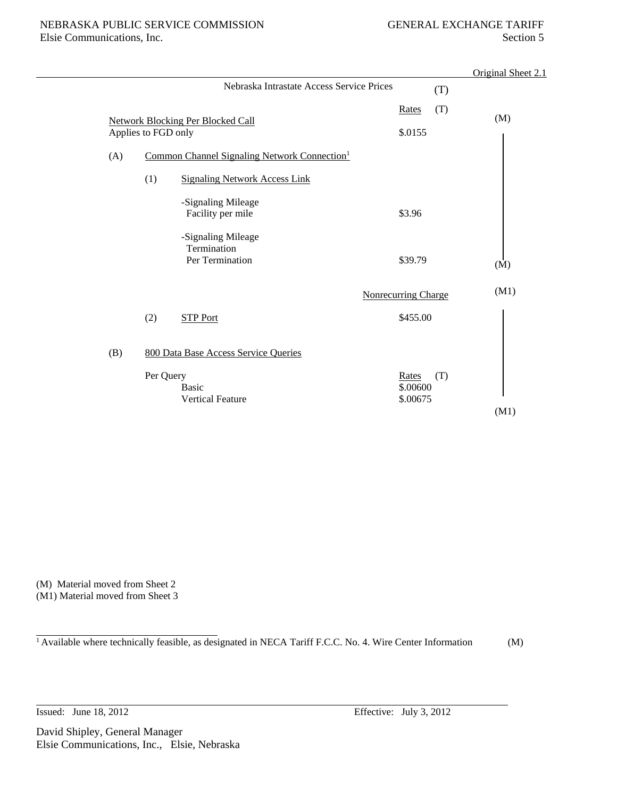|     |                     |                                                          |                               | Original Sheet 2.1 |
|-----|---------------------|----------------------------------------------------------|-------------------------------|--------------------|
|     |                     | Nebraska Intrastate Access Service Prices                |                               | (T)                |
|     | Applies to FGD only | <b>Network Blocking Per Blocked Call</b>                 | Rates<br>\$.0155              | (T)<br>(M)         |
| (A) |                     | Common Channel Signaling Network Connection <sup>1</sup> |                               |                    |
|     | (1)                 | <b>Signaling Network Access Link</b>                     |                               |                    |
|     |                     | -Signaling Mileage<br>Facility per mile                  | \$3.96                        |                    |
|     |                     | -Signaling Mileage<br>Termination<br>Per Termination     | \$39.79                       | (M)                |
|     |                     |                                                          | <b>Nonrecurring Charge</b>    | (M1)               |
|     | (2)                 | <b>STP Port</b>                                          | \$455.00                      |                    |
| (B) |                     | 800 Data Base Access Service Queries                     |                               |                    |
|     | Per Query           | <b>Basic</b><br><b>Vertical Feature</b>                  | Rates<br>\$.00600<br>\$.00675 | (T)                |
|     |                     |                                                          |                               | (M1)               |

(M) Material moved from Sheet 2 (M1) Material moved from Sheet 3

<sup>1</sup> Available where technically feasible, as designated in NECA Tariff F.C.C. No. 4. Wire Center Information (M)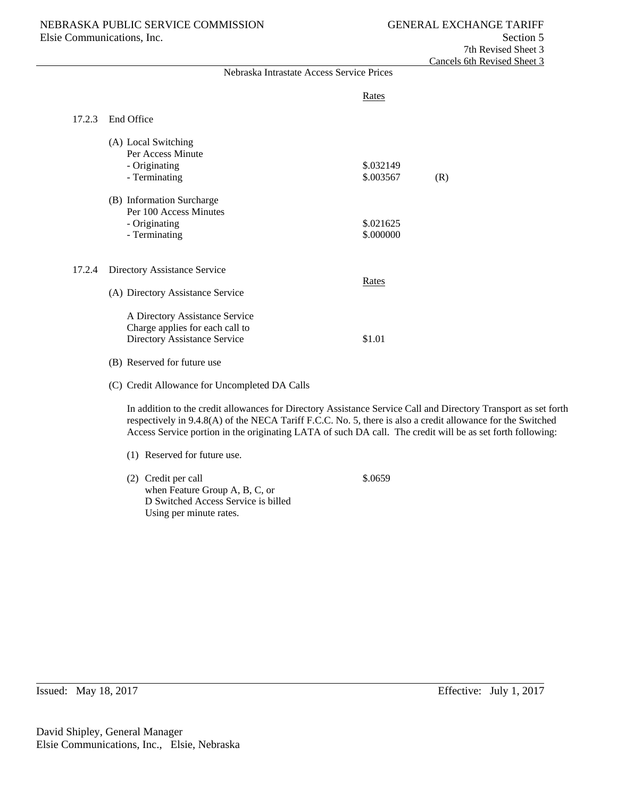|        | Nebraska Intrastate Access Service Prices                                                                                                                                                                                                                                                                                                    |                        |     |
|--------|----------------------------------------------------------------------------------------------------------------------------------------------------------------------------------------------------------------------------------------------------------------------------------------------------------------------------------------------|------------------------|-----|
|        |                                                                                                                                                                                                                                                                                                                                              | Rates                  |     |
| 17.2.3 | End Office                                                                                                                                                                                                                                                                                                                                   |                        |     |
|        | (A) Local Switching<br>Per Access Minute<br>- Originating<br>- Terminating                                                                                                                                                                                                                                                                   | \$.032149<br>\$.003567 | (R) |
|        | (B) Information Surcharge<br>Per 100 Access Minutes<br>- Originating<br>- Terminating                                                                                                                                                                                                                                                        | \$.021625<br>\$.000000 |     |
| 17.2.4 | Directory Assistance Service                                                                                                                                                                                                                                                                                                                 | Rates                  |     |
|        | (A) Directory Assistance Service<br>A Directory Assistance Service<br>Charge applies for each call to<br>Directory Assistance Service                                                                                                                                                                                                        | \$1.01                 |     |
|        | (B) Reserved for future use<br>(C) Credit Allowance for Uncompleted DA Calls                                                                                                                                                                                                                                                                 |                        |     |
|        | In addition to the credit allowances for Directory Assistance Service Call and Directory Transport as set forth<br>respectively in 9.4.8(A) of the NECA Tariff F.C.C. No. 5, there is also a credit allowance for the Switched<br>Access Service portion in the originating LATA of such DA call. The credit will be as set forth following: |                        |     |
|        | (1) Reserved for future use.                                                                                                                                                                                                                                                                                                                 |                        |     |
|        | (2) Credit per call<br>when Feature Group A, B, C, or<br>D Switched Access Service is billed<br>Using per minute rates.                                                                                                                                                                                                                      | \$.0659                |     |

Issued: May 18, 2017 Effective: July 1, 2017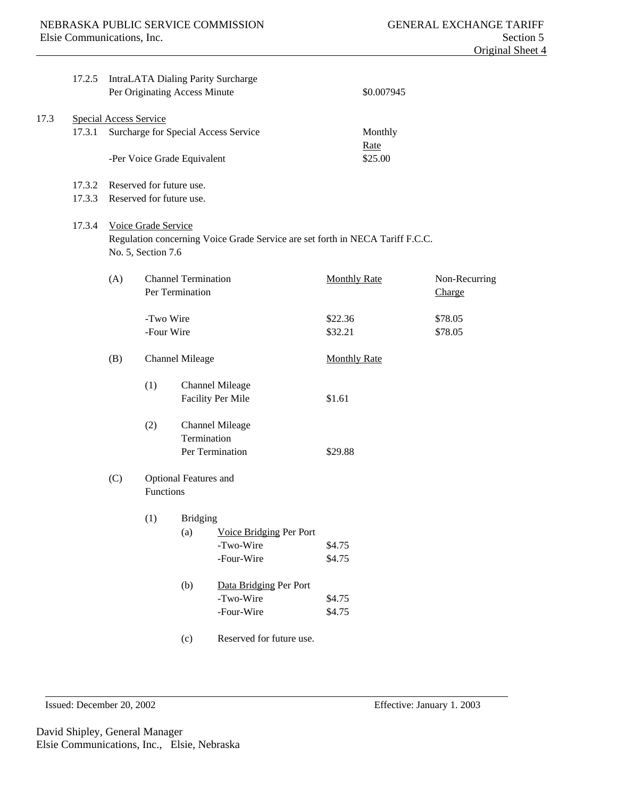|      | 17.2.5 |                                                                                                      | Per Originating Access Minute   |                                               | IntraLATA Dialing Parity Surcharge          | \$0.007945          |                         |
|------|--------|------------------------------------------------------------------------------------------------------|---------------------------------|-----------------------------------------------|---------------------------------------------|---------------------|-------------------------|
| 17.3 |        | <b>Special Access Service</b>                                                                        |                                 |                                               |                                             |                     |                         |
|      | 17.3.1 |                                                                                                      |                                 |                                               | Surcharge for Special Access Service        | Monthly<br>Rate     |                         |
|      |        |                                                                                                      | -Per Voice Grade Equivalent     |                                               |                                             | \$25.00             |                         |
|      |        |                                                                                                      | 17.3.2 Reserved for future use. |                                               |                                             |                     |                         |
|      | 17.3.3 |                                                                                                      | Reserved for future use.        |                                               |                                             |                     |                         |
|      | 17.3.4 | Voice Grade Service<br>Regulation concerning Voice Grade Service are set forth in NECA Tariff F.C.C. |                                 |                                               |                                             |                     |                         |
|      |        |                                                                                                      | No. 5, Section 7.6              |                                               |                                             |                     |                         |
|      |        | (A)                                                                                                  |                                 | <b>Channel Termination</b><br>Per Termination |                                             | <b>Monthly Rate</b> | Non-Recurring<br>Charge |
|      |        |                                                                                                      | -Two Wire<br>-Four Wire         |                                               |                                             | \$22.36<br>\$32.21  | \$78.05<br>\$78.05      |
|      |        | (B)                                                                                                  |                                 | <b>Channel Mileage</b>                        |                                             | <b>Monthly Rate</b> |                         |
|      |        |                                                                                                      | (1)                             |                                               | <b>Channel Mileage</b><br>Facility Per Mile | \$1.61              |                         |
|      |        |                                                                                                      | (2)                             | Termination                                   | <b>Channel Mileage</b>                      |                     |                         |
|      |        |                                                                                                      |                                 |                                               | Per Termination                             | \$29.88             |                         |
|      |        | (C)                                                                                                  | Functions                       | Optional Features and                         |                                             |                     |                         |
|      |        |                                                                                                      | (1)                             | <b>Bridging</b><br>(a)                        | Voice Bridging Per Port                     |                     |                         |
|      |        |                                                                                                      |                                 |                                               | -Two-Wire                                   | \$4.75              |                         |
|      |        |                                                                                                      |                                 |                                               | -Four-Wire                                  | \$4.75              |                         |
|      |        |                                                                                                      |                                 | (b)                                           | Data Bridging Per Port<br>-Two-Wire         | \$4.75              |                         |
|      |        |                                                                                                      |                                 |                                               | -Four-Wire                                  | \$4.75              |                         |
|      |        |                                                                                                      |                                 | (c)                                           | Reserved for future use.                    |                     |                         |
|      |        |                                                                                                      |                                 |                                               |                                             |                     |                         |

Issued: December 20, 2002 Effective: January 1. 2003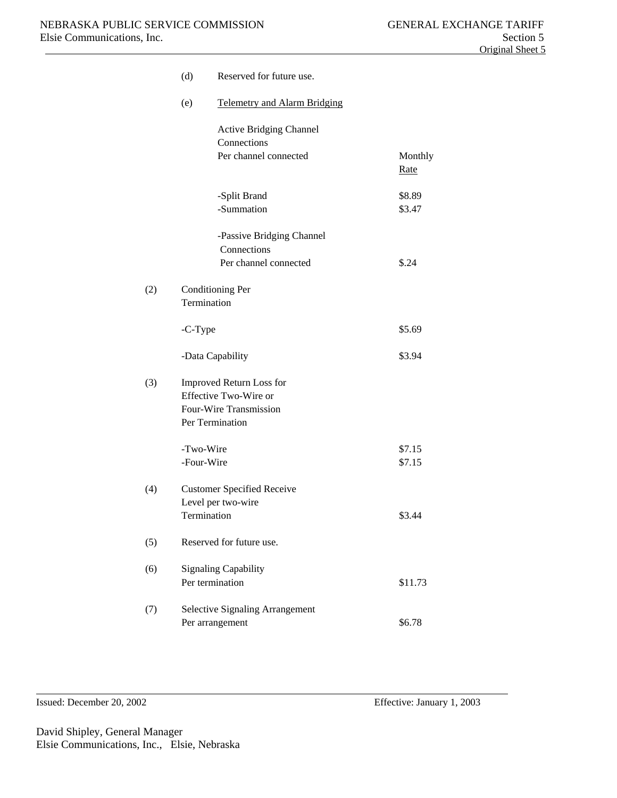|     | (d)             | Reserved for future use.                        |                        |
|-----|-----------------|-------------------------------------------------|------------------------|
|     | (e)             | <b>Telemetry and Alarm Bridging</b>             |                        |
|     |                 | <b>Active Bridging Channel</b><br>Connections   |                        |
|     |                 | Per channel connected                           | Monthly<br><u>Rate</u> |
|     |                 | -Split Brand                                    | \$8.89                 |
|     |                 | -Summation                                      | \$3.47                 |
|     |                 | -Passive Bridging Channel<br>Connections        |                        |
|     |                 | Per channel connected                           | \$.24                  |
| (2) | Termination     | <b>Conditioning Per</b>                         |                        |
|     | -C-Type         |                                                 | \$5.69                 |
|     |                 | -Data Capability                                | \$3.94                 |
| (3) |                 | Improved Return Loss for                        |                        |
|     |                 | Effective Two-Wire or<br>Four-Wire Transmission |                        |
|     |                 | Per Termination                                 |                        |
|     | -Two-Wire       |                                                 | \$7.15                 |
|     | -Four-Wire      |                                                 | \$7.15                 |
| (4) |                 | <b>Customer Specified Receive</b>               |                        |
|     |                 | Level per two-wire                              | \$3.44                 |
|     | Termination     |                                                 |                        |
| (5) |                 | Reserved for future use.                        |                        |
| (6) |                 | <b>Signaling Capability</b>                     |                        |
|     | Per termination |                                                 | \$11.73                |
| (7) |                 | <b>Selective Signaling Arrangement</b>          |                        |
|     |                 | Per arrangement                                 | \$6.78                 |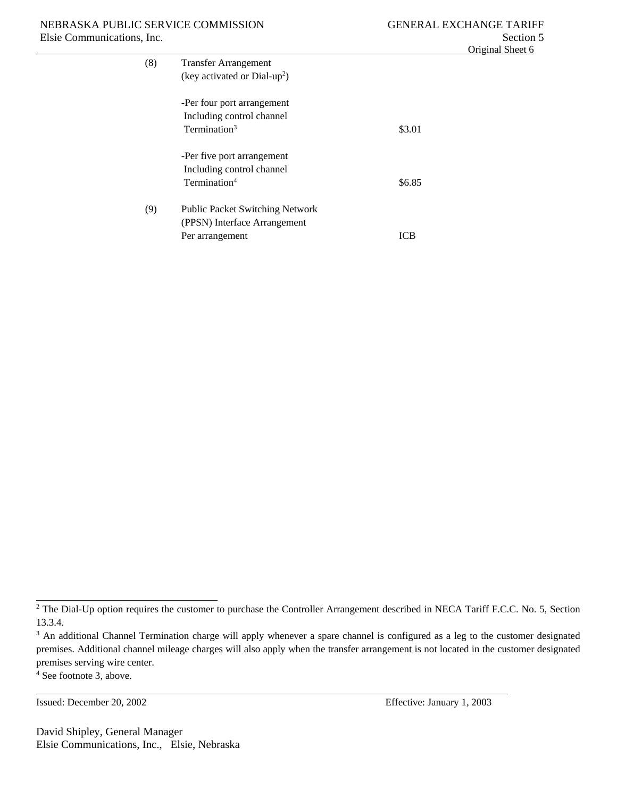| <b>Transfer Arrangement</b>            |                                                               |
|----------------------------------------|---------------------------------------------------------------|
|                                        |                                                               |
|                                        |                                                               |
|                                        |                                                               |
| Including control channel              |                                                               |
| Termination <sup>3</sup>               | \$3.01                                                        |
|                                        |                                                               |
| -Per five port arrangement             |                                                               |
| Including control channel              |                                                               |
| Termination <sup>4</sup>               | \$6.85                                                        |
|                                        |                                                               |
| <b>Public Packet Switching Network</b> |                                                               |
| (PPSN) Interface Arrangement           |                                                               |
| Per arrangement                        |                                                               |
|                                        | (key activated or $Dial-up^2$ )<br>-Per four port arrangement |

Issued: December 20, 2002 Effective: January 1, 2003

David Shipley, General Manager Elsie Communications, Inc., Elsie, Nebraska

<sup>&</sup>lt;sup>2</sup> The Dial-Up option requires the customer to purchase the Controller Arrangement described in NECA Tariff F.C.C. No. 5, Section 13.3.4.

<sup>&</sup>lt;sup>3</sup> An additional Channel Termination charge will apply whenever a spare channel is configured as a leg to the customer designated premises. Additional channel mileage charges will also apply when the transfer arrangement is not located in the customer designated premises serving wire center.

<sup>4</sup> See footnote 3, above.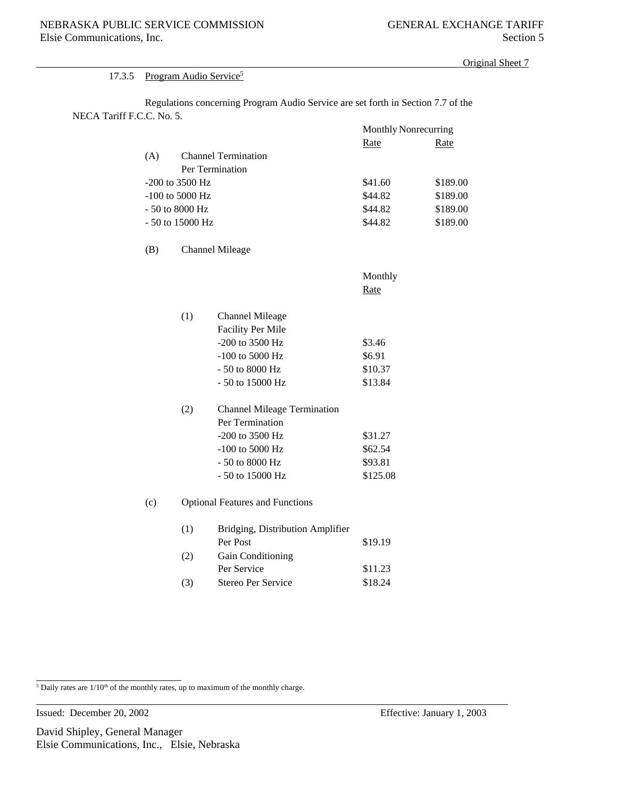#### 17.3.5 Program Audio Service<sup>5</sup>

Regulations concerning Program Audio Service are set forth in Section 7.7 of the NECA Tariff F.C.C. No. 5.

|                   |                            | Monthly Nonrecurring |          |
|-------------------|----------------------------|----------------------|----------|
|                   |                            | Rate                 | Rate     |
| (A)               | <b>Channel Termination</b> |                      |          |
|                   | Per Termination            |                      |          |
| $-200$ to 3500 Hz |                            | \$41.60              | \$189.00 |
| $-100$ to 5000 Hz |                            | \$44.82              | \$189.00 |
| $-50$ to 8000 Hz  |                            | \$44.82              | \$189.00 |
|                   | $-50$ to 15000 Hz          | \$44.82              | \$189.00 |

# (B) Channel Mileage

| Monthly |
|---------|
| Rate    |

| (1) | Channel Mileage          |         |
|-----|--------------------------|---------|
|     | <b>Facility Per Mile</b> |         |
|     | $-200$ to 3500 Hz        | \$3.46  |
|     | $-100$ to 5000 Hz        | \$6.91  |
|     | $-50$ to 8000 Hz         | \$10.37 |
|     | $-50$ to 15000 Hz        | \$13.84 |

| (2) | <b>Channel Mileage Termination</b> |          |
|-----|------------------------------------|----------|
|     | Per Termination                    |          |
|     | $-200$ to 3500 Hz                  | \$31.27  |
|     | $-100$ to 5000 Hz                  | \$62.54  |
|     | $-50$ to 8000 Hz                   | \$93.81  |
|     | - 50 to 15000 Hz                   | \$125.08 |

(c) Optional Features and Functions

| (1) | Bridging, Distribution Amplifier |         |
|-----|----------------------------------|---------|
|     | Per Post                         | \$19.19 |
| (2) | <b>Gain Conditioning</b>         |         |
|     | Per Service                      | \$11.23 |
| (3) | Stereo Per Service               | \$18.24 |

 $5$  Daily rates are  $1/10<sup>th</sup>$  of the monthly rates, up to maximum of the monthly charge.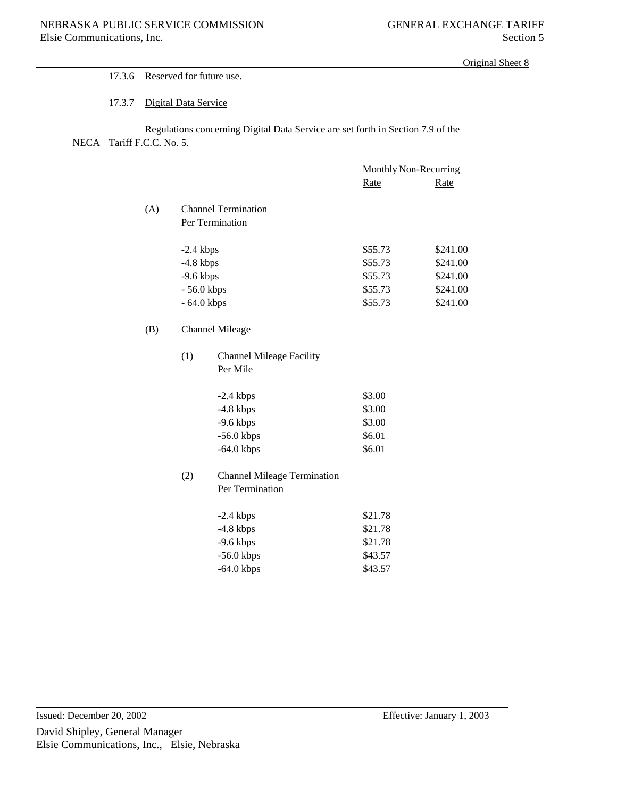### 17.3.6 Reserved for future use.

### 17.3.7 Digital Data Service

Regulations concerning Digital Data Service are set forth in Section 7.9 of the NECA Tariff F.C.C. No. 5.

|     |              |                                    | Monthly Non-Recurring |             |
|-----|--------------|------------------------------------|-----------------------|-------------|
|     |              |                                    | <b>Rate</b>           | <b>Rate</b> |
|     |              | <b>Channel Termination</b>         |                       |             |
| (A) |              |                                    |                       |             |
|     |              | Per Termination                    |                       |             |
|     | $-2.4$ kbps  |                                    | \$55.73               | \$241.00    |
|     | $-4.8$ kbps  |                                    | \$55.73               | \$241.00    |
|     | $-9.6$ kbps  |                                    | \$55.73               | \$241.00    |
|     | $-56.0$ kbps |                                    | \$55.73               | \$241.00    |
|     | $-64.0$ kbps |                                    | \$55.73               | \$241.00    |
| (B) |              | <b>Channel Mileage</b>             |                       |             |
|     | (1)          | <b>Channel Mileage Facility</b>    |                       |             |
|     |              | Per Mile                           |                       |             |
|     |              | $-2.4$ kbps                        | \$3.00                |             |
|     |              | $-4.8$ kbps                        | \$3.00                |             |
|     |              | $-9.6$ kbps                        | \$3.00                |             |
|     |              | $-56.0$ kbps                       | \$6.01                |             |
|     |              | $-64.0$ kbps                       | \$6.01                |             |
|     | (2)          | <b>Channel Mileage Termination</b> |                       |             |
|     |              | Per Termination                    |                       |             |
|     |              |                                    |                       |             |
|     |              | $-2.4$ khns                        | \$21.78               |             |

| $-2.4$ kbps  | \$21.78 |
|--------------|---------|
| $-4.8$ kbps  | \$21.78 |
| $-9.6$ kbps  | \$21.78 |
| $-56.0$ kbps | \$43.57 |
| $-64.0$ kbps | \$43.57 |
|              |         |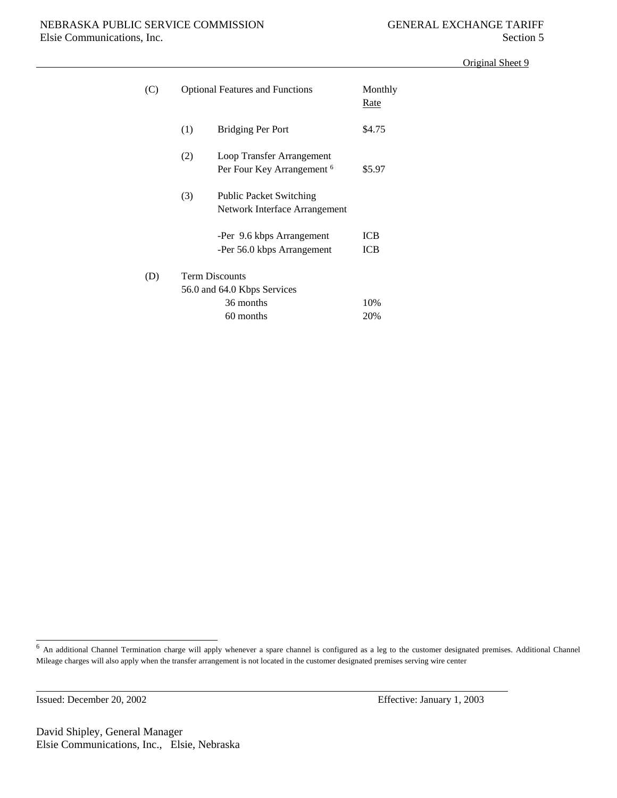| (C) |                                                      | <b>Optional Features and Functions</b>                             | Monthly<br>Rate          |  |
|-----|------------------------------------------------------|--------------------------------------------------------------------|--------------------------|--|
|     | (1)                                                  | Bridging Per Port                                                  | \$4.75                   |  |
|     | (2)                                                  | Loop Transfer Arrangement<br>Per Four Key Arrangement <sup>6</sup> | \$5.97                   |  |
|     | (3)                                                  | <b>Public Packet Switching</b><br>Network Interface Arrangement    |                          |  |
|     |                                                      | -Per 9.6 kbps Arrangement<br>-Per 56.0 kbps Arrangement            | <b>ICB</b><br><b>ICB</b> |  |
| (D) | <b>Term Discounts</b><br>56.0 and 64.0 Kbps Services |                                                                    |                          |  |
|     |                                                      | 10%<br>20%                                                         |                          |  |

Issued: December 20, 2002 Effective: January 1, 2003

David Shipley, General Manager Elsie Communications, Inc., Elsie, Nebraska

<sup>6</sup> An additional Channel Termination charge will apply whenever a spare channel is configured as a leg to the customer designated premises. Additional Channel Mileage charges will also apply when the transfer arrangement is not located in the customer designated premises serving wire center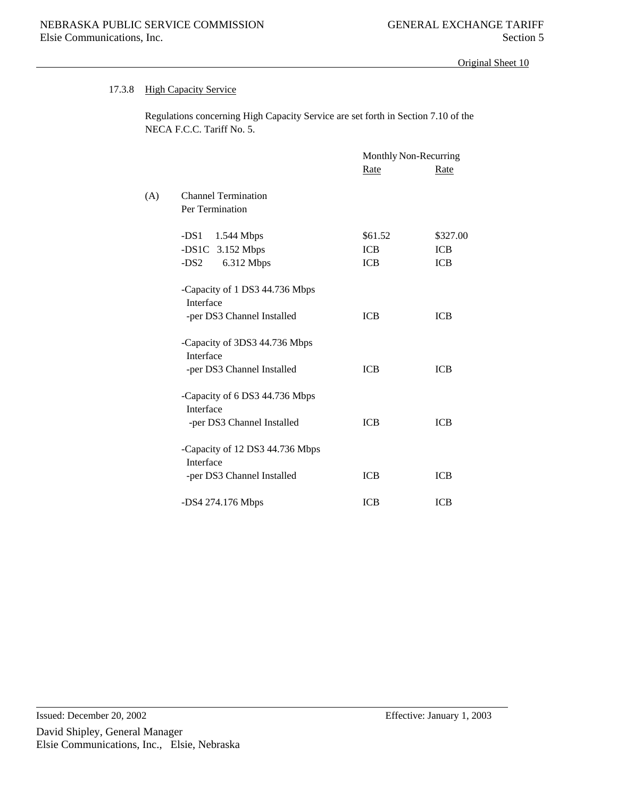### 17.3.8 High Capacity Service

Regulations concerning High Capacity Service are set forth in Section 7.10 of the NECA F.C.C. Tariff No. 5.

|     |                                                                           | Monthly Non-Recurring |            |
|-----|---------------------------------------------------------------------------|-----------------------|------------|
|     |                                                                           | Rate                  | Rate       |
| (A) | <b>Channel Termination</b><br>Per Termination                             |                       |            |
|     | $-DS1 \quad 1.544 \text{ Mbps}$                                           | \$61.52               | \$327.00   |
|     | $-DS1C$ 3.152 Mbps                                                        | <b>ICB</b>            | <b>ICB</b> |
|     | $-DS2$<br>6.312 Mbps                                                      | <b>ICB</b>            | <b>ICB</b> |
|     | -Capacity of 1 DS3 44.736 Mbps<br>Interface<br>-per DS3 Channel Installed | <b>ICB</b>            | <b>ICB</b> |
|     | -Capacity of 3DS3 44.736 Mbps<br>Interface<br>-per DS3 Channel Installed  | <b>ICB</b>            | <b>ICB</b> |
|     | -Capacity of 6 DS3 44.736 Mbps<br>Interface<br>-per DS3 Channel Installed | <b>ICB</b>            | <b>ICB</b> |
|     | -Capacity of 12 DS3 44.736 Mbps<br>Interface                              |                       |            |
|     | -per DS3 Channel Installed                                                | <b>ICB</b>            | <b>ICB</b> |
|     | -DS4 274.176 Mbps                                                         | <b>ICB</b>            | <b>ICB</b> |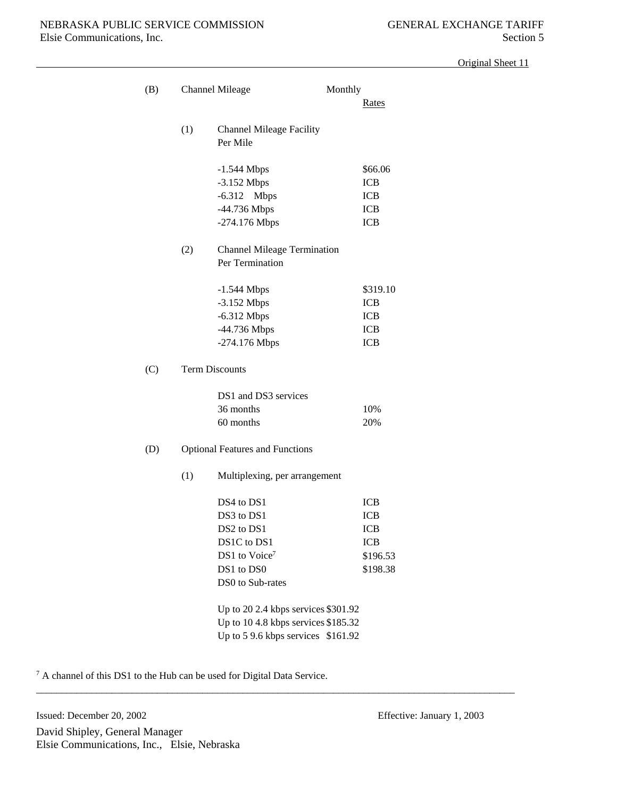| (B) |                                     | Monthly<br><b>Channel Mileage</b>           | Rates      |
|-----|-------------------------------------|---------------------------------------------|------------|
|     | (1)                                 | <b>Channel Mileage Facility</b><br>Per Mile |            |
|     |                                     | $-1.544$ Mbps                               | \$66.06    |
|     |                                     | $-3.152$ Mbps                               | <b>ICB</b> |
|     |                                     | $-6.312$<br><b>Mbps</b>                     | <b>ICB</b> |
|     |                                     | -44.736 Mbps                                | <b>ICB</b> |
|     |                                     | -274.176 Mbps                               | <b>ICB</b> |
|     | (2)                                 | <b>Channel Mileage Termination</b>          |            |
|     |                                     | Per Termination                             |            |
|     |                                     | $-1.544$ Mbps                               | \$319.10   |
|     |                                     | $-3.152$ Mbps                               | <b>ICB</b> |
|     |                                     | $-6.312$ Mbps                               | <b>ICB</b> |
|     |                                     | -44.736 Mbps                                | <b>ICB</b> |
|     |                                     | -274.176 Mbps                               | <b>ICB</b> |
| (C) |                                     | <b>Term Discounts</b>                       |            |
|     |                                     | DS1 and DS3 services                        |            |
|     |                                     | 36 months                                   | 10%        |
|     |                                     | 60 months                                   | 20%        |
| (D) |                                     | <b>Optional Features and Functions</b>      |            |
|     | (1)                                 | Multiplexing, per arrangement               |            |
|     |                                     | DS4 to DS1                                  | <b>ICB</b> |
|     |                                     | DS3 to DS1                                  | <b>ICB</b> |
|     |                                     | DS2 to DS1                                  | <b>ICB</b> |
|     |                                     | DS1C to DS1                                 | <b>ICB</b> |
|     |                                     | DS1 to Voice7                               | \$196.53   |
|     |                                     | DS1 to DS0                                  | \$198.38   |
|     |                                     | DS0 to Sub-rates                            |            |
|     |                                     | Up to 20 2.4 kbps services $$301.92$        |            |
|     | Up to 10 4.8 kbps services \$185.32 |                                             |            |
|     |                                     | Up to 5 9.6 kbps services \$161.92          |            |

\_\_\_\_\_\_\_\_\_\_\_\_\_\_\_\_\_\_\_\_\_\_\_\_\_\_\_\_\_\_\_\_\_\_\_\_\_\_\_\_\_\_\_\_\_\_\_\_\_\_\_\_\_\_\_\_\_\_\_\_\_\_\_\_\_\_\_\_\_\_\_\_\_\_\_\_\_\_\_\_\_\_\_\_\_\_\_\_\_\_\_\_\_\_\_

<sup>7</sup> A channel of this DS1 to the Hub can be used for Digital Data Service.

David Shipley, General Manager Elsie Communications, Inc., Elsie, Nebraska Issued: December 20, 2002 Effective: January 1, 2003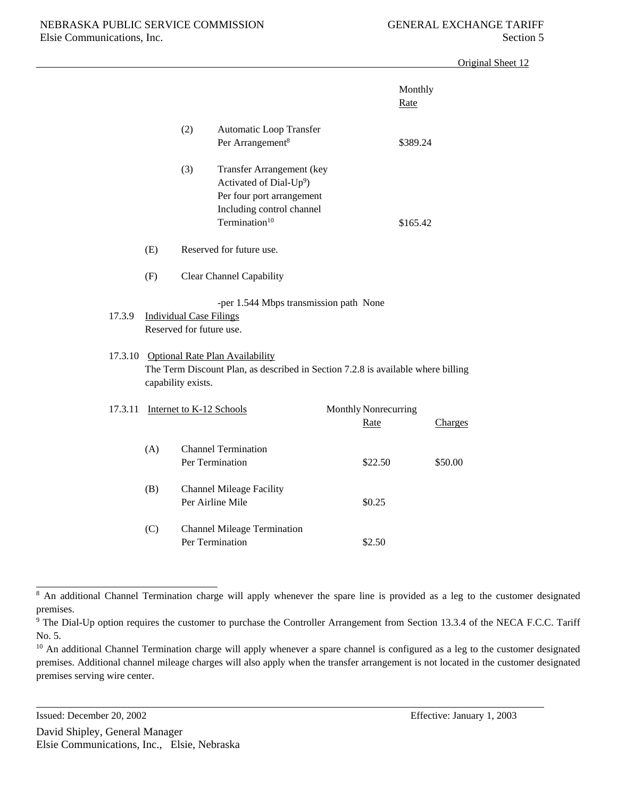|         |     |                                                            |                                                                                                                                                         |                                     | Monthly<br>Rate |         |
|---------|-----|------------------------------------------------------------|---------------------------------------------------------------------------------------------------------------------------------------------------------|-------------------------------------|-----------------|---------|
|         |     | (2)                                                        | Automatic Loop Transfer<br>Per Arrangement <sup>8</sup>                                                                                                 |                                     | \$389.24        |         |
|         |     | (3)                                                        | Transfer Arrangement (key<br>Activated of Dial-Up <sup>9</sup> )<br>Per four port arrangement<br>Including control channel<br>Termination <sup>10</sup> |                                     | \$165.42        |         |
|         | (E) |                                                            | Reserved for future use.                                                                                                                                |                                     |                 |         |
|         | (F) |                                                            | Clear Channel Capability                                                                                                                                |                                     |                 |         |
| 17.3.9  |     | <b>Individual Case Filings</b><br>Reserved for future use. | -per 1.544 Mbps transmission path None                                                                                                                  |                                     |                 |         |
|         |     | capability exists.                                         | 17.3.10 Optional Rate Plan Availability<br>The Term Discount Plan, as described in Section 7.2.8 is available where billing                             |                                     |                 |         |
| 17.3.11 |     | Internet to K-12 Schools                                   |                                                                                                                                                         | Monthly Nonrecurring<br><b>Rate</b> |                 | Charges |
|         | (A) |                                                            | <b>Channel Termination</b><br>Per Termination                                                                                                           | \$22.50                             |                 | \$50.00 |
|         | (B) |                                                            | <b>Channel Mileage Facility</b><br>Per Airline Mile                                                                                                     | \$0.25                              |                 |         |
|         | (C) |                                                            | <b>Channel Mileage Termination</b><br>Per Termination                                                                                                   | \$2.50                              |                 |         |

<sup>&</sup>lt;sup>8</sup> An additional Channel Termination charge will apply whenever the spare line is provided as a leg to the customer designated premises.

<sup>&</sup>lt;sup>9</sup> The Dial-Up option requires the customer to purchase the Controller Arrangement from Section 13.3.4 of the NECA F.C.C. Tariff No. 5.

<sup>&</sup>lt;sup>10</sup> An additional Channel Termination charge will apply whenever a spare channel is configured as a leg to the customer designated premises. Additional channel mileage charges will also apply when the transfer arrangement is not located in the customer designated premises serving wire center.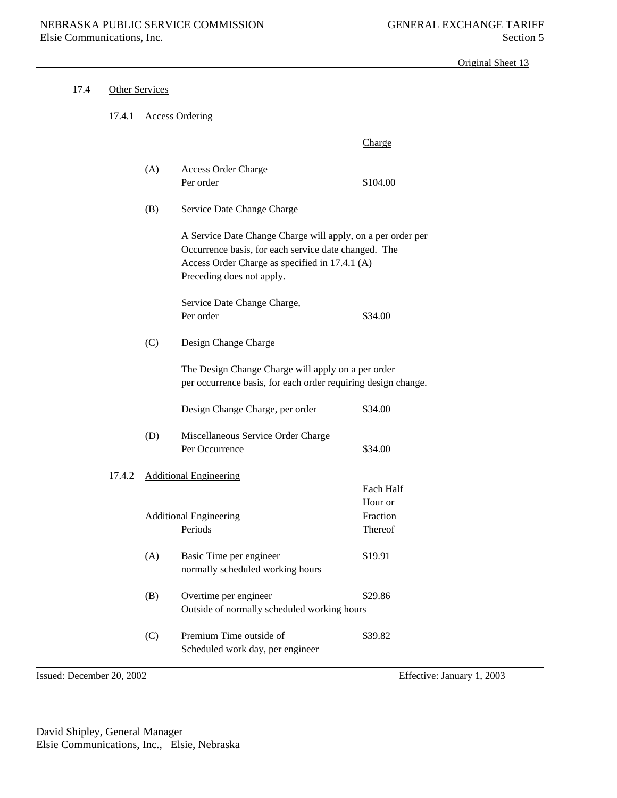| 17.4 | <b>Other Services</b> |     |                                                                                                                                                                                                    |                                                    |  |
|------|-----------------------|-----|----------------------------------------------------------------------------------------------------------------------------------------------------------------------------------------------------|----------------------------------------------------|--|
|      | 17.4.1                |     | <b>Access Ordering</b>                                                                                                                                                                             |                                                    |  |
|      |                       |     |                                                                                                                                                                                                    | Charge                                             |  |
|      |                       | (A) | Access Order Charge<br>Per order                                                                                                                                                                   | \$104.00                                           |  |
|      |                       | (B) | Service Date Change Charge                                                                                                                                                                         |                                                    |  |
|      |                       |     | A Service Date Change Charge will apply, on a per order per<br>Occurrence basis, for each service date changed. The<br>Access Order Charge as specified in 17.4.1 (A)<br>Preceding does not apply. |                                                    |  |
|      |                       |     | Service Date Change Charge,<br>Per order                                                                                                                                                           | \$34.00                                            |  |
|      |                       | (C) | Design Change Charge                                                                                                                                                                               |                                                    |  |
|      |                       |     | The Design Change Charge will apply on a per order<br>per occurrence basis, for each order requiring design change.                                                                                |                                                    |  |
|      |                       |     | Design Change Charge, per order                                                                                                                                                                    | \$34.00                                            |  |
|      |                       | (D) | Miscellaneous Service Order Charge<br>Per Occurrence                                                                                                                                               | \$34.00                                            |  |
|      | 17.4.2                |     | <b>Additional Engineering</b>                                                                                                                                                                      |                                                    |  |
|      |                       |     | <b>Additional Engineering</b><br>Periods                                                                                                                                                           | Each Half<br>Hour or<br>Fraction<br><b>Thereof</b> |  |
|      |                       | (A) | Basic Time per engineer<br>normally scheduled working hours                                                                                                                                        | \$19.91                                            |  |
|      |                       | (B) | Overtime per engineer<br>Outside of normally scheduled working hours                                                                                                                               | \$29.86                                            |  |
|      |                       | (C) | Premium Time outside of<br>Scheduled work day, per engineer                                                                                                                                        | \$39.82                                            |  |

Issued: December 20, 2002 Effective: January 1, 2003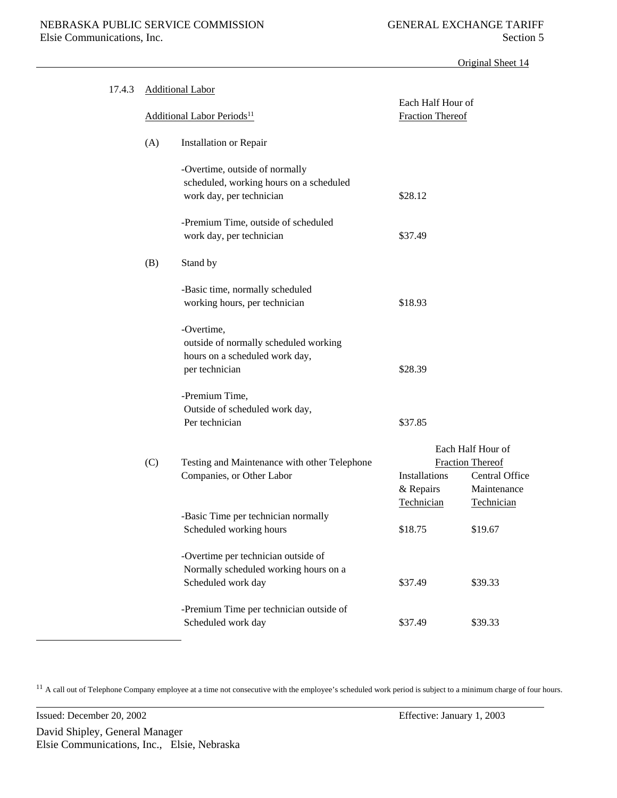| 17.4.3 |     | <b>Additional Labor</b>                                                                                 |                                              |                                                                               |
|--------|-----|---------------------------------------------------------------------------------------------------------|----------------------------------------------|-------------------------------------------------------------------------------|
|        |     | <b>Additional Labor Periods</b> <sup>11</sup>                                                           | Each Half Hour of<br><b>Fraction Thereof</b> |                                                                               |
|        | (A) | <b>Installation or Repair</b>                                                                           |                                              |                                                                               |
|        |     | -Overtime, outside of normally<br>scheduled, working hours on a scheduled<br>work day, per technician   | \$28.12                                      |                                                                               |
|        |     | -Premium Time, outside of scheduled<br>work day, per technician                                         | \$37.49                                      |                                                                               |
|        | (B) | Stand by                                                                                                |                                              |                                                                               |
|        |     | -Basic time, normally scheduled<br>working hours, per technician                                        | \$18.93                                      |                                                                               |
|        |     | -Overtime,<br>outside of normally scheduled working<br>hours on a scheduled work day,<br>per technician | \$28.39                                      |                                                                               |
|        |     | -Premium Time,<br>Outside of scheduled work day,<br>Per technician                                      | \$37.85                                      |                                                                               |
|        | (C) | Testing and Maintenance with other Telephone<br>Companies, or Other Labor                               | Installations<br>& Repairs                   | Each Half Hour of<br><b>Fraction Thereof</b><br>Central Office<br>Maintenance |
|        |     | -Basic Time per technician normally<br>Scheduled working hours                                          | Technician<br>\$18.75                        | Technician<br>\$19.67                                                         |
|        |     | -Overtime per technician outside of<br>Normally scheduled working hours on a                            |                                              |                                                                               |
|        |     | Scheduled work day                                                                                      | \$37.49                                      | \$39.33                                                                       |
|        |     | -Premium Time per technician outside of<br>Scheduled work day                                           | \$37.49                                      | \$39.33                                                                       |

<sup>11</sup> A call out of Telephone Company employee at a time not consecutive with the employee's scheduled work period is subject to a minimum charge of four hours.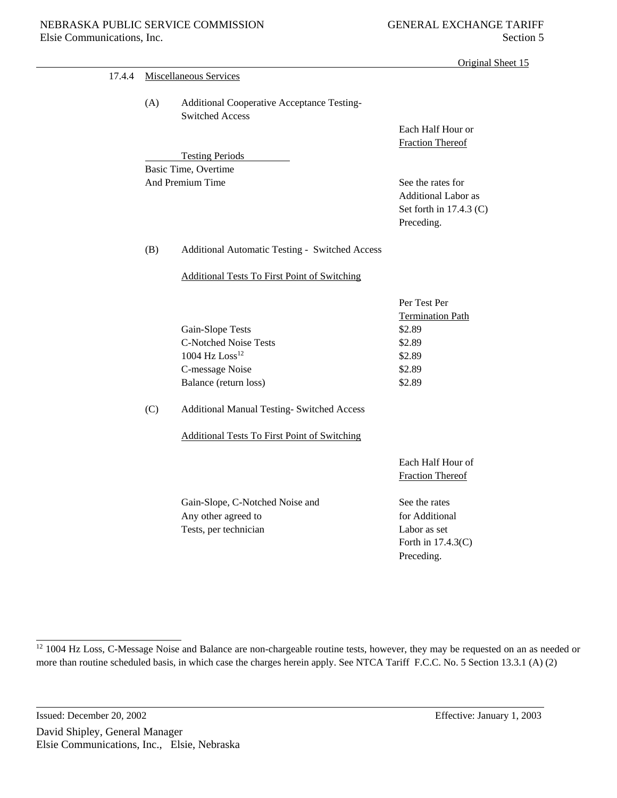| 17.4.4 | Miscellaneous Services |                                                                      |                                                                                     |  |  |
|--------|------------------------|----------------------------------------------------------------------|-------------------------------------------------------------------------------------|--|--|
|        | (A)                    | Additional Cooperative Acceptance Testing-<br><b>Switched Access</b> | Each Half Hour or                                                                   |  |  |
|        |                        |                                                                      | <b>Fraction Thereof</b>                                                             |  |  |
|        |                        | <b>Testing Periods</b>                                               |                                                                                     |  |  |
|        |                        | Basic Time, Overtime                                                 |                                                                                     |  |  |
|        |                        | And Premium Time                                                     | See the rates for<br>Additional Labor as<br>Set forth in $17.4.3$ (C)<br>Preceding. |  |  |
|        | (B)                    | Additional Automatic Testing - Switched Access                       |                                                                                     |  |  |
|        |                        | <b>Additional Tests To First Point of Switching</b>                  |                                                                                     |  |  |
|        |                        |                                                                      | Per Test Per<br><b>Termination Path</b>                                             |  |  |
|        |                        | Gain-Slope Tests                                                     | \$2.89                                                                              |  |  |
|        |                        | <b>C-Notched Noise Tests</b>                                         | \$2.89                                                                              |  |  |
|        |                        | $1004~\mathrm{Hz}~\mathrm{Loss}^{12}$                                | \$2.89                                                                              |  |  |
|        |                        | C-message Noise                                                      | \$2.89                                                                              |  |  |
|        |                        | Balance (return loss)                                                | \$2.89                                                                              |  |  |
|        | (C)                    | <b>Additional Manual Testing- Switched Access</b>                    |                                                                                     |  |  |
|        |                        | <b>Additional Tests To First Point of Switching</b>                  |                                                                                     |  |  |
|        |                        |                                                                      | Each Half Hour of<br><b>Fraction Thereof</b>                                        |  |  |
|        |                        | Gain-Slope, C-Notched Noise and                                      | See the rates                                                                       |  |  |
|        |                        | Any other agreed to                                                  | for Additional                                                                      |  |  |
|        |                        | Tests, per technician                                                | Labor as set                                                                        |  |  |
|        |                        |                                                                      | Forth in 17.4.3(C)                                                                  |  |  |
|        |                        |                                                                      | Preceding.                                                                          |  |  |
|        |                        |                                                                      |                                                                                     |  |  |

<sup>&</sup>lt;sup>12</sup> 1004 Hz Loss, C-Message Noise and Balance are non-chargeable routine tests, however, they may be requested on an as needed or more than routine scheduled basis, in which case the charges herein apply. See NTCA Tariff F.C.C. No. 5 Section 13.3.1 (A) (2)